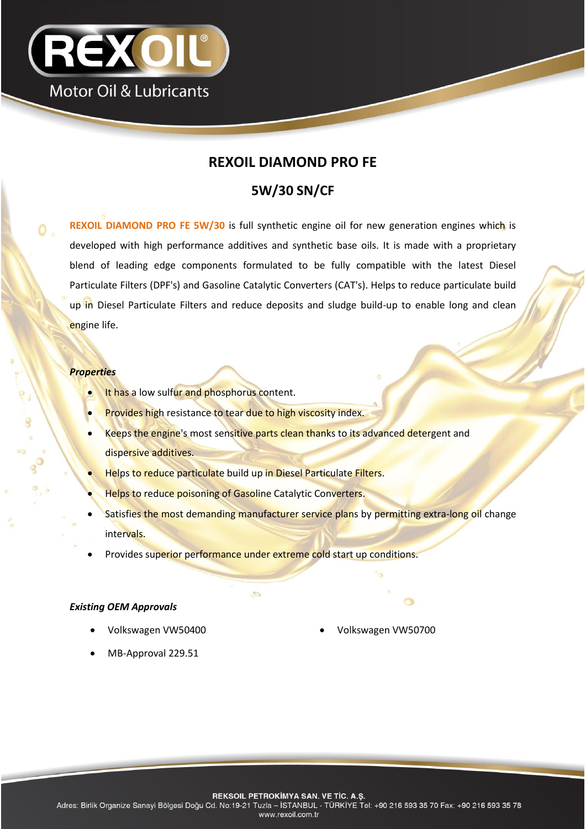

## **REXOIL DIAMOND PRO FE**

# **5W/30 SN/CF**

**REXOIL DIAMOND PRO FE 5W/30** is full synthetic engine oil for new generation engines which is developed with high performance additives and synthetic base oils. It is made with a proprietary blend of leading edge components formulated to be fully compatible with the latest Diesel Particulate Filters (DPF's) and Gasoline Catalytic Converters (CAT's). Helps to reduce particulate build up in Diesel Particulate Filters and reduce deposits and sludge build-up to enable long and clean engine life.

### *Properties*

- It has a low sulfur and phosphorus content.
- Provides high resistance to tear due to high viscosity index.
- Keeps the engine's most sensitive parts clean thanks to its advanced detergent and dispersive additives.
- Helps to reduce particulate build up in Diesel Particulate Filters.
- Helps to reduce poisoning of Gasoline Catalytic Converters.
- Satisfies the most demanding manufacturer service plans by permitting extra-long oil change intervals.
- Provides superior performance under extreme cold start up conditions.

#### *Existing OEM Approvals*

- - Volkswagen VW50400 Volkswagen VW50700
- MB-Approval 229.51

Adres: Birlik Organize Sanayi Bölgesi Doğu Cd. No:19-21 Tuzla - İSTANBUL - TÜRKİYE Tel: +90 216 593 35 70 Fax: +90 216 593 35 78 www.rexoil.com.tr